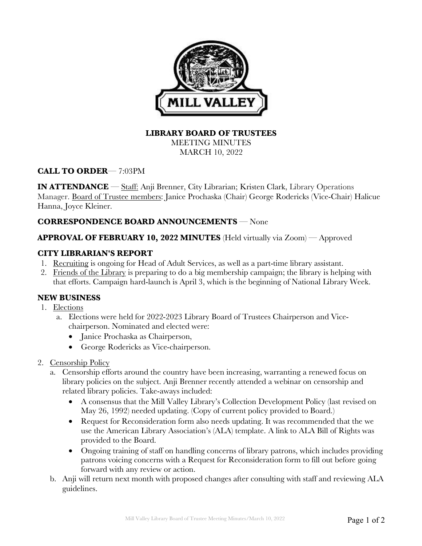

## **LIBRARY BOARD OF TRUSTEES**

MEETING MINUTES MARCH 10, 2022

# **CALL TO ORDER**— 7:03PM

**IN ATTENDANCE** — Staff: Anji Brenner, City Librarian; Kristen Clark, Library Operations Manager. Board of Trustee members: Janice Prochaska (Chair) George Rodericks (Vice-Chair) Halicue Hanna, Joyce Kleiner.

## **CORRESPONDENCE BOARD ANNOUNCEMENTS** — None

## **APPROVAL OF FEBRUARY 10, 2022 MINUTES** (Held virtually via Zoom) — Approved

#### **CITY LIBRARIAN'S REPORT**

- 1. Recruiting is ongoing for Head of Adult Services, as well as a part-time library assistant.
- 2. Friends of the Library is preparing to do a big membership campaign; the library is helping with that efforts. Campaign hard-launch is April 3, which is the beginning of National Library Week.

## **NEW BUSINESS**

- 1. Elections
	- a. Elections were held for 2022-2023 Library Board of Trustees Chairperson and Vicechairperson. Nominated and elected were:
		- Janice Prochaska as Chairperson,
		- George Rodericks as Vice-chairperson.
- 2. Censorship Policy
	- a. Censorship efforts around the country have been increasing, warranting a renewed focus on library policies on the subject. Anji Brenner recently attended a webinar on censorship and related library policies. Take-aways included:
		- A consensus that the Mill Valley Library's Collection Development Policy (last revised on May 26, 1992) needed updating. (Copy of current policy provided to Board.)
		- Request for Reconsideration form also needs updating. It was recommended that the we use the American Library Association's (ALA) template. A link to ALA Bill of Rights was provided to the Board.
		- Ongoing training of staff on handling concerns of library patrons, which includes providing patrons voicing concerns with a Request for Reconsideration form to fill out before going forward with any review or action.
	- b. Anji will return next month with proposed changes after consulting with staff and reviewing ALA guidelines.